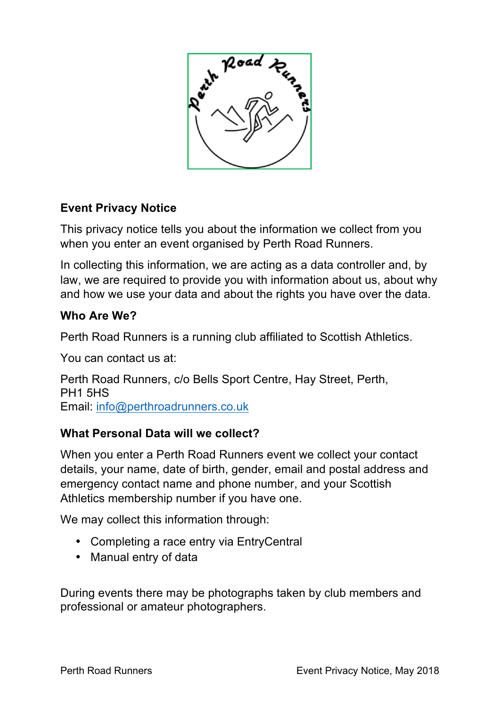

# **Event Privacy Notice**

This privacy notice tells you about the information we collect from you when you enter an event organised by Perth Road Runners.

In collecting this information, we are acting as a data controller and, by law, we are required to provide you with information about us, about why and how we use your data and about the rights you have over the data.

#### **Who Are We?**

Perth Road Runners is a running club affiliated to Scottish Athletics.

You can contact us at:

Perth Road Runners, c/o Bells Sport Centre, Hay Street, Perth, PH1 5HS Email: info@perthroadrunners.co.uk

## **What Personal Data will we collect?**

When you enter a Perth Road Runners event we collect your contact details, your name, date of birth, gender, email and postal address and emergency contact name and phone number, and your Scottish Athletics membership number if you have one.

We may collect this information through:

- Completing a race entry via EntryCentral
- Manual entry of data

During events there may be photographs taken by club members and professional or amateur photographers.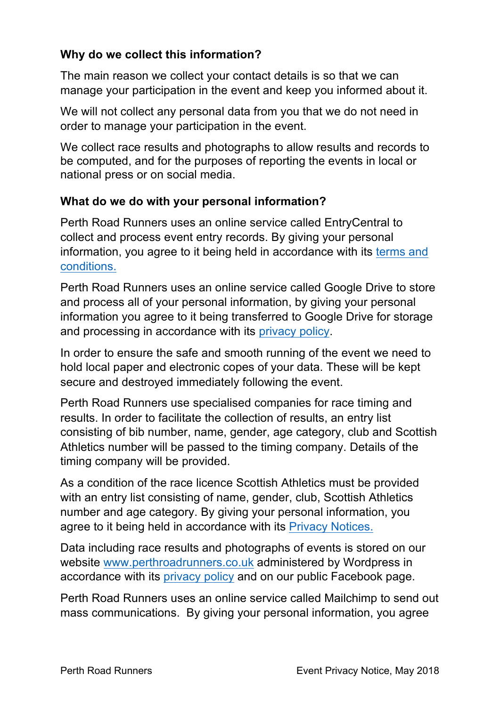## **Why do we collect this information?**

The main reason we collect your contact details is so that we can manage your participation in the event and keep you informed about it.

We will not collect any personal data from you that we do not need in order to manage your participation in the event.

We collect race results and photographs to allow results and records to be computed, and for the purposes of reporting the events in local or national press or on social media.

## **What do we do with your personal information?**

Perth Road Runners uses an online service called EntryCentral to collect and process event entry records. By giving your personal information, you agree to it being held in accordance with its terms and conditions.

Perth Road Runners uses an online service called Google Drive to store and process all of your personal information, by giving your personal information you agree to it being transferred to Google Drive for storage and processing in accordance with its privacy policy.

In order to ensure the safe and smooth running of the event we need to hold local paper and electronic copes of your data. These will be kept secure and destroyed immediately following the event.

Perth Road Runners use specialised companies for race timing and results. In order to facilitate the collection of results, an entry list consisting of bib number, name, gender, age category, club and Scottish Athletics number will be passed to the timing company. Details of the timing company will be provided.

As a condition of the race licence Scottish Athletics must be provided with an entry list consisting of name, gender, club, Scottish Athletics number and age category. By giving your personal information, you agree to it being held in accordance with its Privacy Notices.

Data including race results and photographs of events is stored on our website www.perthroadrunners.co.uk administered by Wordpress in accordance with its privacy policy and on our public Facebook page.

Perth Road Runners uses an online service called Mailchimp to send out mass communications. By giving your personal information, you agree